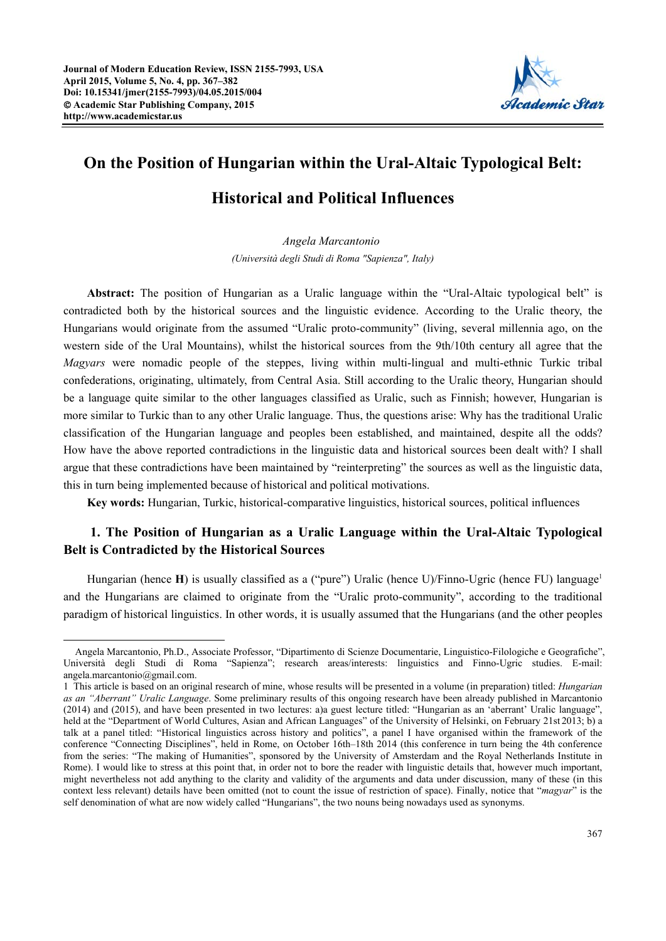$\overline{a}$ 



# **On the Position of Hungarian within the Ural-Altaic Typological Belt:**

## **Historical and Political Influences**

*Angela Marcantonio (Università degli Studi di Roma "Sapienza", Italy)* 

**Abstract:** The position of Hungarian as a Uralic language within the "Ural-Altaic typological belt" is contradicted both by the historical sources and the linguistic evidence. According to the Uralic theory, the Hungarians would originate from the assumed "Uralic proto-community" (living, several millennia ago, on the western side of the Ural Mountains), whilst the historical sources from the 9th/10th century all agree that the *Magyars* were nomadic people of the steppes, living within multi-lingual and multi-ethnic Turkic tribal confederations, originating, ultimately, from Central Asia. Still according to the Uralic theory, Hungarian should be a language quite similar to the other languages classified as Uralic, such as Finnish; however, Hungarian is more similar to Turkic than to any other Uralic language. Thus, the questions arise: Why has the traditional Uralic classification of the Hungarian language and peoples been established, and maintained, despite all the odds? How have the above reported contradictions in the linguistic data and historical sources been dealt with? I shall argue that these contradictions have been maintained by "reinterpreting" the sources as well as the linguistic data, this in turn being implemented because of historical and political motivations.

**Key words:** Hungarian, Turkic, historical-comparative linguistics, historical sources, political influences

### **1. The Position of Hungarian as a Uralic Language within the Ural-Altaic Typological Belt is Contradicted by the Historical Sources**

Hungarian (hence **H**) is usually classified as a ("pure") Uralic (hence U)/Finno-Ugric (hence FU) language<sup>1</sup> and the Hungarians are claimed to originate from the "Uralic proto-community", according to the traditional paradigm of historical linguistics. In other words, it is usually assumed that the Hungarians (and the other peoples

Angela Marcantonio, Ph.D., Associate Professor, "Dipartimento di Scienze Documentarie, Linguistico-Filologiche e Geografiche", Università degli Studi di Roma "Sapienza"; research areas/interests: linguistics and Finno-Ugric studies. E-mail: angela.marcantonio@gmail.com.

<sup>1</sup> This article is based on an original research of mine, whose results will be presented in a volume (in preparation) titled: *Hungarian as an "Aberrant" Uralic Language*. Some preliminary results of this ongoing research have been already published in Marcantonio (2014) and (2015), and have been presented in two lectures: a)a guest lecture titled: "Hungarian as an 'aberrant' Uralic language", held at the "Department of World Cultures, Asian and African Languages" of the University of Helsinki, on February 21st 2013; b) a talk at a panel titled: "Historical linguistics across history and politics", a panel I have organised within the framework of the conference "Connecting Disciplines", held in Rome, on October 16th–18th 2014 (this conference in turn being the 4th conference from the series: "The making of Humanities", sponsored by the University of Amsterdam and the Royal Netherlands Institute in Rome). I would like to stress at this point that, in order not to bore the reader with linguistic details that, however much important, might nevertheless not add anything to the clarity and validity of the arguments and data under discussion, many of these (in this context less relevant) details have been omitted (not to count the issue of restriction of space). Finally, notice that "*magyar*" is the self denomination of what are now widely called "Hungarians", the two nouns being nowadays used as synonyms.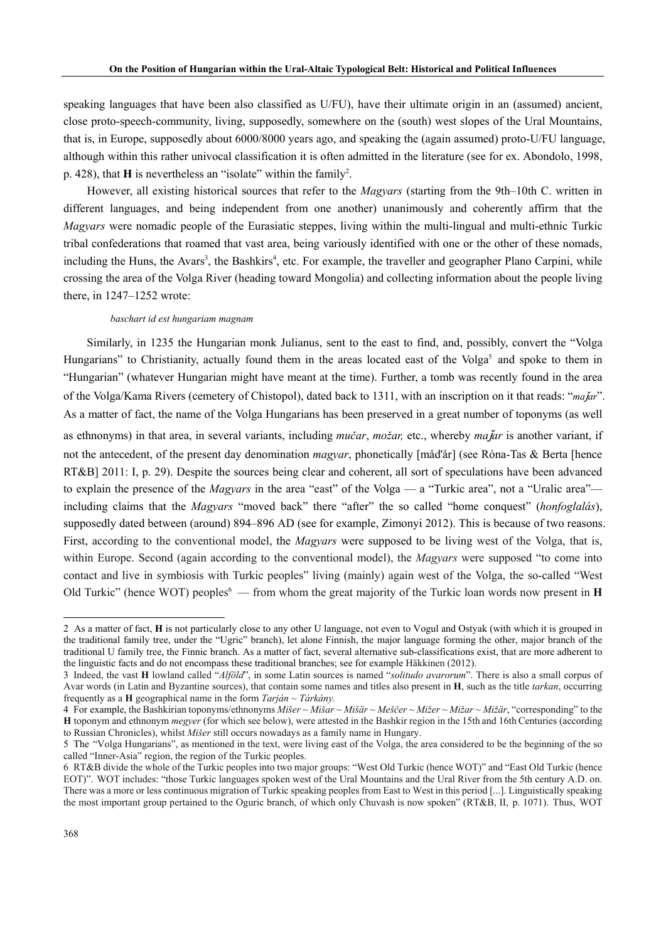speaking languages that have been also classified as U/FU), have their ultimate origin in an (assumed) ancient, close proto-speech-community, living, supposedly, somewhere on the (south) west slopes of the Ural Mountains, that is, in Europe, supposedly about 6000/8000 years ago, and speaking the (again assumed) proto-U/FU language, although within this rather univocal classification it is often admitted in the literature (see for ex. Abondolo, 1998, p. 428), that  $H$  is nevertheless an "isolate" within the family<sup>2</sup>.

 However, all existing historical sources that refer to the *Magyars* (starting from the 9th–10th C. written in different languages, and being independent from one another) unanimously and coherently affirm that the *Magyars* were nomadic people of the Eurasiatic steppes, living within the multi-lingual and multi-ethnic Turkic tribal confederations that roamed that vast area, being variously identified with one or the other of these nomads, including the Huns, the Avars<sup>3</sup>, the Bashkirs<sup>4</sup>, etc. For example, the traveller and geographer Plano Carpini, while crossing the area of the Volga River (heading toward Mongolia) and collecting information about the people living there, in 1247–1252 wrote:

#### *baschart id est hungariam magnam*

Similarly, in 1235 the Hungarian monk Julianus, sent to the east to find, and, possibly, convert the "Volga Hungarians" to Christianity, actually found them in the areas located east of the Volga<sup>5</sup> and spoke to them in "Hungarian" (whatever Hungarian might have meant at the time). Further, a tomb was recently found in the area of the Volga/Kama Rivers (cemetery of Chistopol), dated back to 1311, with an inscription on it that reads: "*ma*ǰ*ar*". As a matter of fact, the name of the Volga Hungarians has been preserved in a great number of toponyms (as well

as ethnonyms) in that area, in several variants, including *mučar*, *možar,* etc., whereby *ma*ǰ*ar* is another variant, if not the antecedent, of the present day denomination *magyar*, phonetically [måd'år] (see Róna-Tas & Berta [hence RT&B] 2011: I, p. 29). Despite the sources being clear and coherent, all sort of speculations have been advanced to explain the presence of the *Magyars* in the area "east" of the Volga — a "Turkic area", not a "Uralic area" including claims that the *Magyars* "moved back" there "after" the so called "home conquest" (*honfoglalás*), supposedly dated between (around) 894–896 AD (see for example, Zimonyi 2012). This is because of two reasons. First, according to the conventional model, the *Magyars* were supposed to be living west of the Volga, that is, within Europe. Second (again according to the conventional model), the *Magyars* were supposed "to come into contact and live in symbiosis with Turkic peoples" living (mainly) again west of the Volga, the so-called "West Old Turkic" (hence WOT) peoples<sup>6</sup> — from whom the great majority of the Turkic loan words now present in **H** 

<sup>2</sup> As a matter of fact, **H** is not particularly close to any other U language, not even to Vogul and Ostyak (with which it is grouped in the traditional family tree, under the "Ugric" branch), let alone Finnish, the major language forming the other, major branch of the traditional U family tree, the Finnic branch. As a matter of fact, several alternative sub-classifications exist, that are more adherent to the linguistic facts and do not encompass these traditional branches; see for example Häkkinen (2012).

<sup>3</sup> Indeed, the vast **H** lowland called "*Alföld*", in some Latin sources is named "*solitudo avarorum*". There is also a small corpus of Avar words (in Latin and Byzantine sources), that contain some names and titles also present in **H**, such as the title *tarkan*, occurring frequently as a **H** geographical name in the form *Tarján ~ Tárkány.*

<sup>4</sup> For example, the Bashkirian toponyms/ethnonyms *Mišer* ~ *Mišar ~ Mišär ~ Meščer* ~ *Mižer* ~ *Mižar ~ Mižär*, "corresponding" to the **H** toponym and ethnonym *megyer* (for which see below), were attested in the Bashkir region in the 15th and 16thCenturies (according to Russian Chronicles), whilst *Mišer* still occurs nowadays as a family name in Hungary.

<sup>5</sup> The "Volga Hungarians", as mentioned in the text, were living east of the Volga, the area considered to be the beginning of the so called "Inner-Asia" region, the region of the Turkic peoples.

<sup>6</sup> RT&B divide the whole of the Turkic peoples into two major groups: "West Old Turkic (hence WOT)" and "East Old Turkic (hence EOT)". WOT includes: "those Turkic languages spoken west of the Ural Mountains and the Ural River from the 5th century A.D. on. There was a more or less continuous migration of Turkic speaking peoples from East to West in this period [...]. Linguistically speaking the most important group pertained to the Oguric branch, of which only Chuvash is now spoken" (RT&B, II, p. 1071). Thus, WOT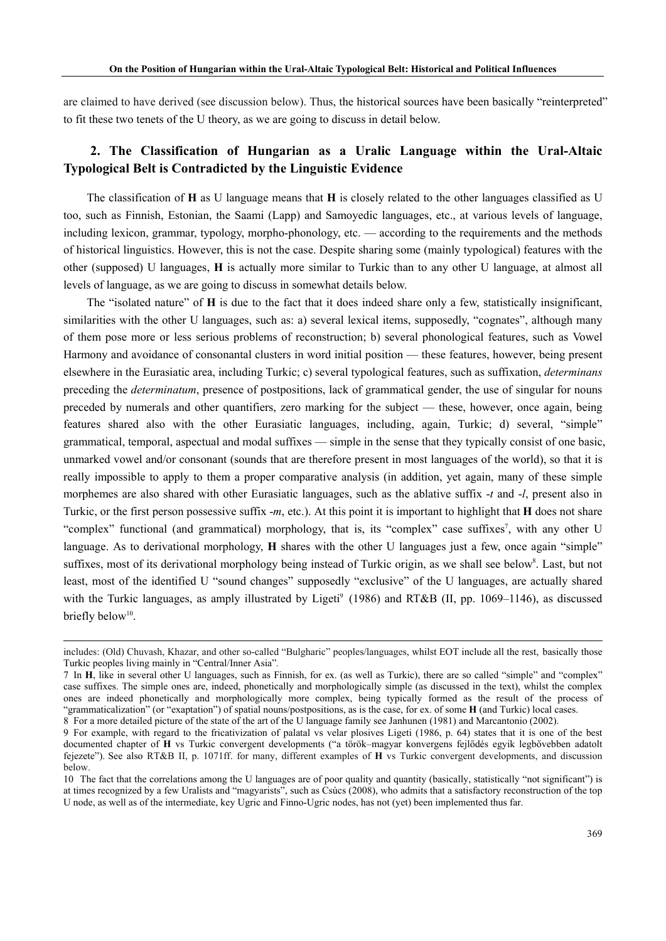are claimed to have derived (see discussion below). Thus, the historical sources have been basically "reinterpreted" to fit these two tenets of the U theory, as we are going to discuss in detail below.

#### **2. The Classification of Hungarian as a Uralic Language within the Ural-Altaic Typological Belt is Contradicted by the Linguistic Evidence**

The classification of **H** as U language means that **H** is closely related to the other languages classified as U too, such as Finnish, Estonian, the Saami (Lapp) and Samoyedic languages, etc., at various levels of language, including lexicon, grammar, typology, morpho-phonology, etc. — according to the requirements and the methods of historical linguistics. However, this is not the case. Despite sharing some (mainly typological) features with the other (supposed) U languages, **H** is actually more similar to Turkic than to any other U language, at almost all levels of language, as we are going to discuss in somewhat details below.

The "isolated nature" of **H** is due to the fact that it does indeed share only a few, statistically insignificant, similarities with the other U languages, such as: a) several lexical items, supposedly, "cognates", although many of them pose more or less serious problems of reconstruction; b) several phonological features, such as Vowel Harmony and avoidance of consonantal clusters in word initial position — these features, however, being present elsewhere in the Eurasiatic area, including Turkic; c) several typological features, such as suffixation, *determinans* preceding the *determinatum*, presence of postpositions, lack of grammatical gender, the use of singular for nouns preceded by numerals and other quantifiers, zero marking for the subject — these, however, once again, being features shared also with the other Eurasiatic languages, including, again, Turkic; d) several, "simple" grammatical, temporal, aspectual and modal suffixes — simple in the sense that they typically consist of one basic, unmarked vowel and/or consonant (sounds that are therefore present in most languages of the world), so that it is really impossible to apply to them a proper comparative analysis (in addition, yet again, many of these simple morphemes are also shared with other Eurasiatic languages, such as the ablative suffix -*t* and -*l*, present also in Turkic, or the first person possessive suffix -*m*, etc.). At this point it is important to highlight that **H** does not share "complex" functional (and grammatical) morphology, that is, its "complex" case suffixes<sup>7</sup>, with any other U language. As to derivational morphology, **H** shares with the other U languages just a few, once again "simple" suffixes, most of its derivational morphology being instead of Turkic origin, as we shall see below<sup>8</sup>. Last, but not least, most of the identified U "sound changes" supposedly "exclusive" of the U languages, are actually shared with the Turkic languages, as amply illustrated by Ligeti<sup>9</sup> (1986) and RT&B (II, pp. 1069–1146), as discussed briefly below<sup>10</sup>.

includes: (Old) Chuvash, Khazar, and other so-called "Bulgharic" peoples/languages, whilst EOT include all the rest, basically those Turkic peoples living mainly in "Central/Inner Asia"*.*

<sup>7</sup> In **H**, like in several other U languages, such as Finnish, for ex. (as well as Turkic), there are so called "simple" and "complex" case suffixes. The simple ones are, indeed, phonetically and morphologically simple (as discussed in the text), whilst the complex ones are indeed phonetically and morphologically more complex, being typically formed as the result of the process of "grammaticalization" (or "exaptation") of spatial nouns/postpositions, as is the case, for ex. of some **H** (and Turkic) local cases. 8 For a more detailed picture of the state of the art of the U language family see Janhunen (1981) and Marcantonio (2002).

<sup>9</sup> For example, with regard to the fricativization of palatal vs velar plosives Ligeti (1986, p. 64) states that it is one of the best

documented chapter of **H** vs Turkic convergent developments ("a török–magyar konvergens fejlődés egyik legbővebben adatolt fejezete"). See also RT&B II, p. 1071ff. for many, different examples of **H** vs Turkic convergent developments, and discussion below.

<sup>10</sup> The fact that the correlations among the U languages are of poor quality and quantity (basically, statistically "not significant") is at times recognized by a few Uralists and "magyarists", such as Csúcs (2008), who admits that a satisfactory reconstruction of the top U node, as well as of the intermediate, key Ugric and Finno-Ugric nodes, has not (yet) been implemented thus far.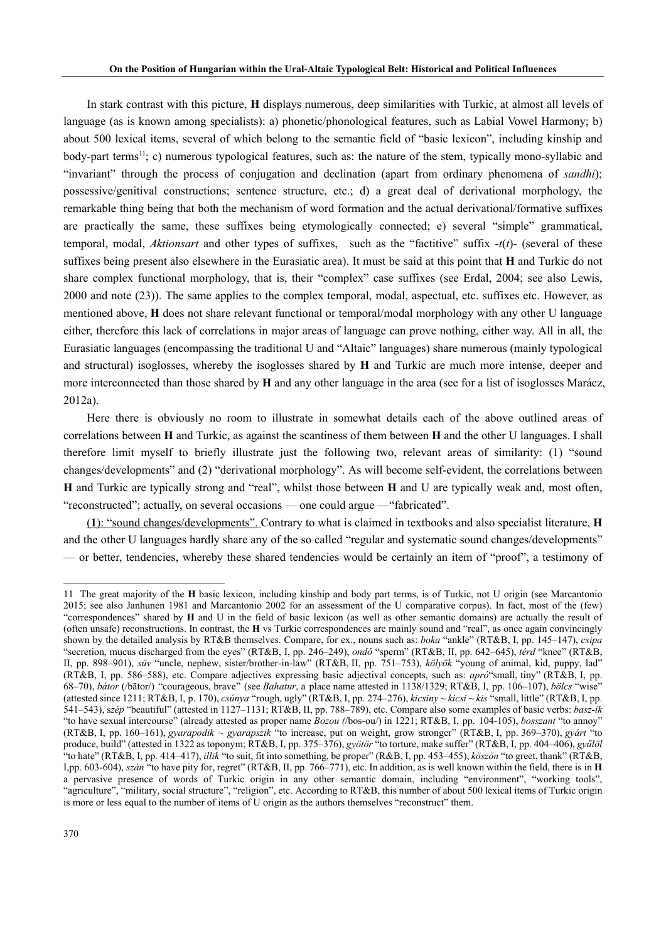In stark contrast with this picture, **H** displays numerous, deep similarities with Turkic, at almost all levels of language (as is known among specialists): a) phonetic/phonological features, such as Labial Vowel Harmony; b) about 500 lexical items, several of which belong to the semantic field of "basic lexicon", including kinship and body-part terms<sup>11</sup>; c) numerous typological features, such as: the nature of the stem, typically mono-syllabic and "invariant" through the process of conjugation and declination (apart from ordinary phenomena of *sandhi*); possessive/genitival constructions; sentence structure, etc.; d) a great deal of derivational morphology, the remarkable thing being that both the mechanism of word formation and the actual derivational/formative suffixes are practically the same, these suffixes being etymologically connected; e) several "simple" grammatical, temporal, modal, *Aktionsart* and other types of suffixes, such as the "factitive" suffix -*t*(*t*)- (several of these suffixes being present also elsewhere in the Eurasiatic area). It must be said at this point that **H** and Turkic do not share complex functional morphology, that is, their "complex" case suffixes (see Erdal, 2004; see also Lewis, 2000 and note (23)). The same applies to the complex temporal, modal, aspectual, etc. suffixes etc. However, as mentioned above, **H** does not share relevant functional or temporal/modal morphology with any other U language either, therefore this lack of correlations in major areas of language can prove nothing, either way. All in all, the Eurasiatic languages (encompassing the traditional U and "Altaic" languages) share numerous (mainly typological and structural) isoglosses, whereby the isoglosses shared by **H** and Turkic are much more intense, deeper and more interconnected than those shared by **H** and any other language in the area (see for a list of isoglosses Marácz, 2012a).

Here there is obviously no room to illustrate in somewhat details each of the above outlined areas of correlations between **H** and Turkic, as against the scantiness of them between **H** and the other U languages. I shall therefore limit myself to briefly illustrate just the following two, relevant areas of similarity: (1) "sound changes/developments" and (2) "derivational morphology". As will become self-evident, the correlations between **H** and Turkic are typically strong and "real", whilst those between **H** and U are typically weak and, most often, "reconstructed"; actually, on several occasions — one could argue —"fabricated".

(**1**): "sound changes/developments". Contrary to what is claimed in textbooks and also specialist literature, **H**  and the other U languages hardly share any of the so called "regular and systematic sound changes/developments" — or better, tendencies, whereby these shared tendencies would be certainly an item of "proof", a testimony of

<sup>11</sup> The great majority of the **H** basic lexicon, including kinship and body part terms, is of Turkic, not U origin (see Marcantonio 2015; see also Janhunen 1981 and Marcantonio 2002 for an assessment of the U comparative corpus). In fact, most of the (few) "correspondences" shared by **H** and U in the field of basic lexicon (as well as other semantic domains) are actually the result of (often unsafe) reconstructions. In contrast, the **H** vs Turkic correspondences are mainly sound and "real", as once again convincingly shown by the detailed analysis by RT&B themselves. Compare, for ex., nouns such as: *boka* "ankle" (RT&B, I, pp. 145–147), *csipa*  "secretion, mucus discharged from the eyes" (RT&B, I, pp. 246–249), *ondó* "sperm" (RT&B, II, pp. 642–645), *térd* "knee" (RT&B, II, pp. 898–901), *süv* "uncle, nephew, sister/brother-in-law" (RT&B, II, pp. 751–753), *kölyök* "young of animal, kid, puppy, lad" (RT&B, I, pp. 586–588), etc. Compare adjectives expressing basic adjectival concepts, such as: *apró*"small, tiny" (RT&B, I, pp. 68–70), *bátor* (/bātor/) "courageous, brave" (see *Bahatur*, a place name attested in 1138/1329; RT&B, I, pp. 106–107), *bölcs* "wise" (attested since 1211; RT&B, I, p. 170), *csúnya* "rough, ugly" (RT&B, I, pp. 274–276), *kicsiny* ~ *kicsi* ~ *kis* "small, little" (RT&B, I, pp. 541–543), s*zép* "beautiful" (attested in 1127–1131; RT&B, II, pp. 788–789), etc. Compare also some examples of basic verbs: *basz-ik*  "to have sexual intercourse" (already attested as proper name *Bozou (*/bos-ou/) in 1221; RT&B, I, pp. 104-105), *bosszant* "to annoy" (RT&B, I, pp. 160–161), *gyarapodik* ~ *gyarapszik* "to increase, put on weight, grow stronger" (RT&B, I, pp. 369–370), *gyárt* "to produce, build" (attested in 1322 as toponym; RT&B, I, pp. 375–376), *gyötör* "to torture, make suffer" (RT&B, I, pp. 404–406), *gyűlöl*  "to hate" (RT&B, I, pp. 414–417), *illik* "to suit, fit into something, be proper" (R&B, I, pp. 453–455), *köszön* "to greet, thank" (RT&B, I,pp. 603-604), *szán* "to have pity for, regret" (RT&B, II, pp. 766–771), etc. In addition, as is well known within the field, there is in **H** a pervasive presence of words of Turkic origin in any other semantic domain, including "environment", "working tools", "agriculture", "military, social structure", "religion", etc. According to RT&B, this number of about 500 lexical items of Turkic origin is more or less equal to the number of items of U origin as the authors themselves "reconstruct" them.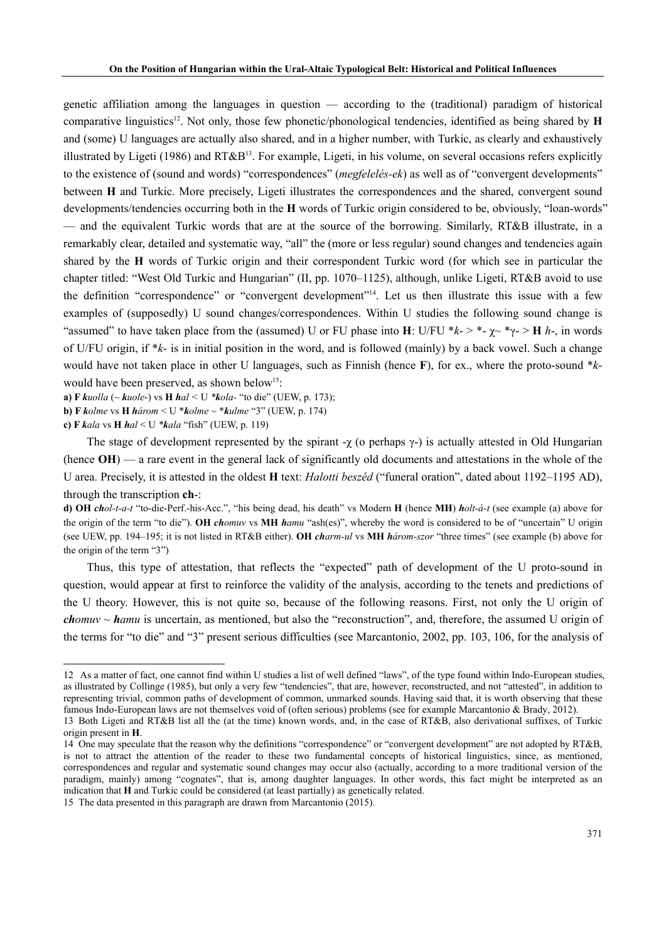genetic affiliation among the languages in question — according to the (traditional) paradigm of historical comparative linguistics12. Not only, those few phonetic/phonological tendencies, identified as being shared by **H** and (some) U languages are actually also shared, and in a higher number, with Turkic, as clearly and exhaustively illustrated by Ligeti (1986) and RT&B<sup>13</sup>. For example, Ligeti, in his volume, on several occasions refers explicitly to the existence of (sound and words) "correspondences" (*megfelelés-ek*) as well as of "convergent developments" between **H** and Turkic. More precisely, Ligeti illustrates the correspondences and the shared, convergent sound developments/tendencies occurring both in the **H** words of Turkic origin considered to be, obviously, "loan-words" — and the equivalent Turkic words that are at the source of the borrowing. Similarly, RT&B illustrate, in a remarkably clear, detailed and systematic way, "all" the (more or less regular) sound changes and tendencies again shared by the **H** words of Turkic origin and their correspondent Turkic word (for which see in particular the chapter titled: "West Old Turkic and Hungarian" (II, pp. 1070–1125), although, unlike Ligeti, RT&B avoid to use the definition "correspondence" or "convergent development"14. Let us then illustrate this issue with a few examples of (supposedly) U sound changes/correspondences. Within U studies the following sound change is "assumed" to have taken place from the (assumed) U or FU phase into **H**: U/FU  $*k$ -  $*$   $*$   $\sim$   $*$   $\gamma$ -  $*$  **H** *h*-, in words of U/FU origin, if \**k*- is in initial position in the word, and is followed (mainly) by a back vowel. Such a change would have not taken place in other U languages, such as Finnish (hence **F**), for ex., where the proto-sound \**k*would have been preserved, as shown below<sup>15</sup>:

**a) F** *kuolla* (~ *kuole*-) vs **H** *hal <* U *\*kola-* "to die" (UEW, p. 173);

**b) F** *kolme* vs **H** *három* < U \**kolme* ~ \**kulme* "3" (UEW, p. 174)

**c) F** *kala* vs **H** *hal* < U *\*kala* "fish" (UEW, p. 119)

The stage of development represented by the spirant  $-\chi$  (o perhaps  $\gamma$ -) is actually attested in Old Hungarian (hence **OH**) — a rare event in the general lack of significantly old documents and attestations in the whole of the U area. Precisely, it is attested in the oldest **H** text: *Halotti beszéd* ("funeral oration", dated about 1192–1195 AD), through the transcription **ch**-:

**d) OH** *chol-t-a-t* "to-die-Perf.-his-Acc.", "his being dead, his death" vs Modern **H** (hence **MH**) *holt-á-t* (see example (a) above for the origin of the term "to die"). **OH** *chomuv* vs **MH** *hamu* "ash(es)", whereby the word is considered to be of "uncertain" U origin (see UEW, pp. 194–195; it is not listed in RT&B either). **OH** *charm-ul* vs **MH** *három-szor* "three times" (see example (b) above for the origin of the term "3")

Thus, this type of attestation, that reflects the "expected" path of development of the U proto-sound in question, would appear at first to reinforce the validity of the analysis, according to the tenets and predictions of the U theory. However, this is not quite so, because of the following reasons. First, not only the U origin of *chomuv ~ hamu* is uncertain, as mentioned, but also the "reconstruction", and, therefore, the assumed U origin of the terms for "to die" and "3" present serious difficulties (see Marcantonio, 2002, pp. 103, 106, for the analysis of

<sup>12</sup> As a matter of fact, one cannot find within U studies a list of well defined "laws", of the type found within Indo-European studies, as illustrated by Collinge (1985), but only a very few "tendencies", that are, however, reconstructed, and not "attested", in addition to representing trivial, common paths of development of common, unmarked sounds. Having said that, it is worth observing that these famous Indo-European laws are not themselves void of (often serious) problems (see for example Marcantonio & Brady, 2012). 13 Both Ligeti and RT&B list all the (at the time) known words, and, in the case of RT&B, also derivational suffixes, of Turkic

origin present in **H**.

<sup>14</sup> One may speculate that the reason why the definitions "correspondence" or "convergent development" are not adopted by RT&B, is not to attract the attention of the reader to these two fundamental concepts of historical linguistics, since, as mentioned, correspondences and regular and systematic sound changes may occur also (actually, according to a more traditional version of the paradigm, mainly) among "cognates", that is, among daughter languages. In other words, this fact might be interpreted as an indication that **H** and Turkic could be considered (at least partially) as genetically related.

<sup>15</sup> The data presented in this paragraph are drawn from Marcantonio (2015).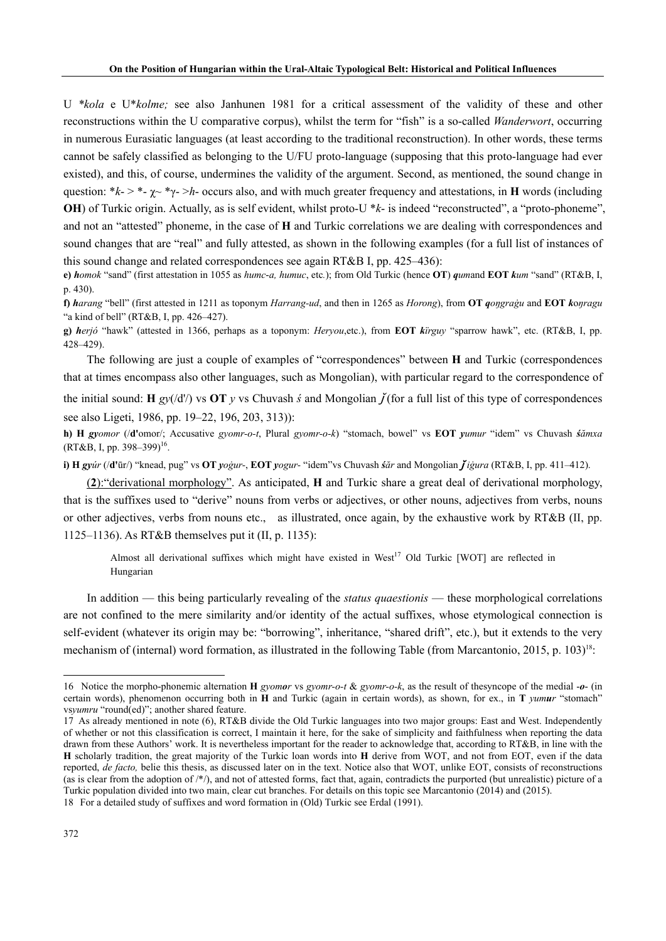U *\*kola* e U\**kolme;* see also Janhunen 1981 for a critical assessment of the validity of these and other reconstructions within the U comparative corpus), whilst the term for "fish" is a so-called *Wanderwort*, occurring in numerous Eurasiatic languages (at least according to the traditional reconstruction). In other words, these terms cannot be safely classified as belonging to the U/FU proto-language (supposing that this proto-language had ever existed), and this, of course, undermines the validity of the argument. Second, as mentioned, the sound change in question:  $*_{k-} > *_{-} \sim *_{\gamma-} > h$ - occurs also, and with much greater frequency and attestations, in **H** words (including **OH**) of Turkic origin. Actually, as is self evident, whilst proto-U \* $k$ - is indeed "reconstructed", a "proto-phoneme", and not an "attested" phoneme, in the case of **H** and Turkic correlations we are dealing with correspondences and sound changes that are "real" and fully attested, as shown in the following examples (for a full list of instances of this sound change and related correspondences see again RT&B I, pp. 425–436):

**e)** *homok* "sand" (first attestation in 1055 as *humc*-*a, humuc*, etc*.*); from Old Turkic (hence **OT**) *qum*and **EOT** *kum* "sand" (RT&B, I, p. 430).

f) harang "bell" (first attested in 1211 as toponym Harrang-ud, and then in 1265 as Horong), from OT gongragu and EOT konragu "a kind of bell" (RT&B, I, pp. 426–427).

**g)** *herjó* "hawk" (attested in 1366, perhaps as a toponym: *Heryou*,etc.), from **EOT** *kïrguy* "sparrow hawk", etc. (RT&B, I, pp. 428–429).

The following are just a couple of examples of "correspondences" between **H** and Turkic (correspondences that at times encompass also other languages, such as Mongolian), with particular regard to the correspondence of

the initial sound: **H**  $g\mathcal{V}(d')$  vs **OT**  $\mathbf{v}$  vs Chuvash  $\dot{s}$  and Mongolian  $\ddot{\mathbf{f}}$  (for a full list of this type of correspondences see also Ligeti, 1986, pp. 19–22, 196, 203, 313)):

**h) H** *gyomor* (/**d'**omor/; Accusative *gyomr-o-t*, Plural *gyomr-o-k*) "stomach, bowel" vs **EOT** *yumur* "idem" vs Chuvash *śămxa*   $(RT&B, I, pp. 398-399)^{16}$ .

i) H gyúr (/d'ūr/) "knead, pug" vs OT yogur-, EOT yogur- "idem" vs Chuvash sar and Mongolian  $\tilde{f}$ igura (RT&B, I, pp. 411–412).

(**2**):"derivational morphology". As anticipated, **H** and Turkic share a great deal of derivational morphology, that is the suffixes used to "derive" nouns from verbs or adjectives, or other nouns, adjectives from verbs, nouns or other adjectives, verbs from nouns etc., as illustrated, once again, by the exhaustive work by RT&B (II, pp. 1125–1136). As RT&B themselves put it (II, p. 1135):

Almost all derivational suffixes which might have existed in West<sup>17</sup> Old Turkic [WOT] are reflected in Hungarian

In addition — this being particularly revealing of the *status quaestionis* — these morphological correlations are not confined to the mere similarity and/or identity of the actual suffixes, whose etymological connection is self-evident (whatever its origin may be: "borrowing", inheritance, "shared drift", etc.), but it extends to the very mechanism of (internal) word formation, as illustrated in the following Table (from Marcantonio, 2015, p. 103)<sup>18</sup>:

<sup>16</sup> Notice the morpho-phonemic alternation **H** *gyomor* vs *gyomr-o-t* & *gyomr-o-k*, as the result of thesyncope of the medial -*o*- (in certain words), phenomenon occurring both in **H** and Turkic (again in certain words), as shown, for ex., in **T** *yumur* "stomach" vs*yumru* "round(ed)"; another shared feature.

<sup>17</sup> As already mentioned in note (6), RT&B divide the Old Turkic languages into two major groups: East and West. Independently of whether or not this classification is correct, I maintain it here, for the sake of simplicity and faithfulness when reporting the data drawn from these Authors' work. It is nevertheless important for the reader to acknowledge that, according to RT&B, in line with the **H** scholarly tradition, the great majority of the Turkic loan words into **H** derive from WOT, and not from EOT, even if the data reported, *de facto,* belie this thesis, as discussed later on in the text. Notice also that WOT, unlike EOT, consists of reconstructions (as is clear from the adoption of /\*/), and not of attested forms, fact that, again, contradicts the purported (but unrealistic) picture of a Turkic population divided into two main, clear cut branches. For details on this topic see Marcantonio (2014) and (2015). 18 For a detailed study of suffixes and word formation in (Old) Turkic see Erdal (1991).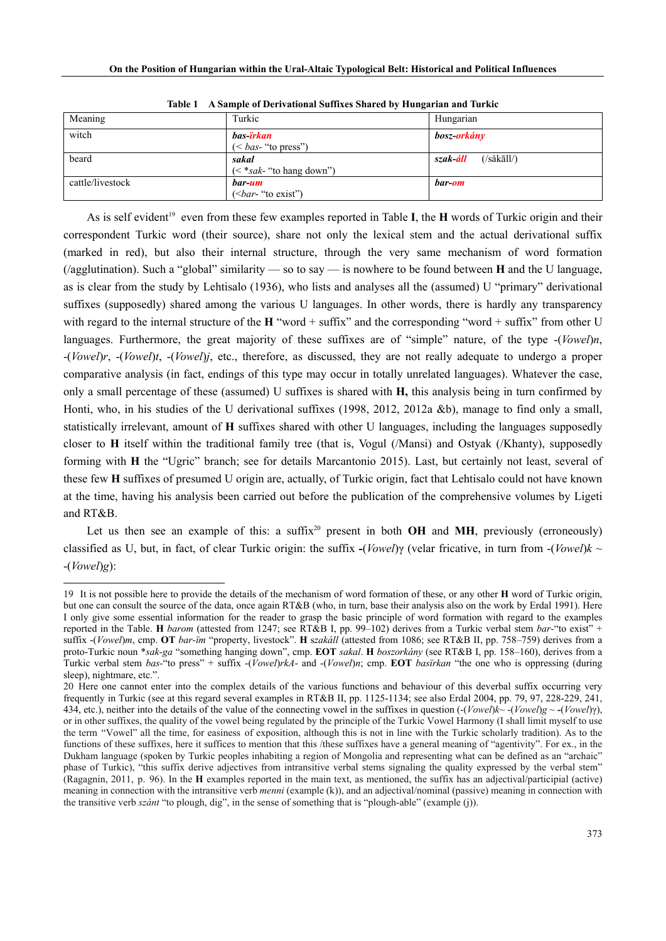| Meaning          | Turkic                                        | Hungarian                                    |
|------------------|-----------------------------------------------|----------------------------------------------|
| witch            | bas- <mark>irkan</mark><br>$(bas$ "to press") | bosz- <b>orkán</b> y                         |
| beard            | sakal<br>$(<$ *sak- "to hang down")           | $(\frac{\sinh(\pi)}{\sinh(\pi)}$<br>szak-áll |
| cattle/livestock | bar-um<br>$(bar- "to exist")$                 | bar-om                                       |

**Table 1 A Sample of Derivational Suffixes Shared by Hungarian and Turkic**

As is self evident<sup>19</sup> even from these few examples reported in Table **I**, the **H** words of Turkic origin and their correspondent Turkic word (their source), share not only the lexical stem and the actual derivational suffix (marked in red), but also their internal structure, through the very same mechanism of word formation (/agglutination). Such a "global" similarity — so to say — is nowhere to be found between **H** and the U language, as is clear from the study by Lehtisalo (1936), who lists and analyses all the (assumed) U "primary" derivational suffixes (supposedly) shared among the various U languages. In other words, there is hardly any transparency with regard to the internal structure of the **H** "word + suffix" and the corresponding "word + suffix" from other U languages. Furthermore, the great majority of these suffixes are of "simple" nature, of the type -(*Vowel*)*n*, -(*Vowel*)*r*, -(*Vowel*)*t*, -(*Vowel*)*j*, etc., therefore, as discussed, they are not really adequate to undergo a proper comparative analysis (in fact, endings of this type may occur in totally unrelated languages). Whatever the case, only a small percentage of these (assumed) U suffixes is shared with **H,** this analysis being in turn confirmed by Honti, who, in his studies of the U derivational suffixes (1998, 2012, 2012a &b), manage to find only a small, statistically irrelevant, amount of **H** suffixes shared with other U languages, including the languages supposedly closer to **H** itself within the traditional family tree (that is, Vogul (/Mansi) and Ostyak (/Khanty), supposedly forming with **H** the "Ugric" branch; see for details Marcantonio 2015). Last, but certainly not least, several of these few **H** suffixes of presumed U origin are, actually, of Turkic origin, fact that Lehtisalo could not have known at the time, having his analysis been carried out before the publication of the comprehensive volumes by Ligeti and RT&B.

Let us then see an example of this: a suffix<sup>20</sup> present in both  $OH$  and  $MH$ , previously (erroneously) classified as U, but, in fact, of clear Turkic origin: the suffix *-*(*Vowel*)γ (velar fricative, in turn from -(*Vowel*)*k* ~ -(*Vowel*)*g*):

<sup>19</sup> It is not possible here to provide the details of the mechanism of word formation of these, or any other **H** word of Turkic origin, but one can consult the source of the data, once again RT&B (who, in turn, base their analysis also on the work by Erdal 1991). Here I only give some essential information for the reader to grasp the basic principle of word formation with regard to the examples reported in the Table. **H** *barom* (attested from 1247; see RT&B I, pp. 99–102) derives from a Turkic verbal stem *bar-*"to exist" + suffix -(*Vowel*)*m*, cmp. **OT** *bar-ïm* "property, livestock". **H** s*zakáll* (attested from 1086; see RT&B II, pp. 758–759) derives from a proto-Turkic noun \**sak-ga* "something hanging down", cmp. **EOT** *sakal*. **H** *boszorkány* (see RT&B I, pp. 158–160), derives from a Turkic verbal stem *bas-*"to press" + suffix -(*Vowel*)*rkA*- and -(*Vowel*)*n*; cmp. **EOT** *basïrkan* "the one who is oppressing (during sleep), nightmare, etc.".

<sup>20</sup> Here one cannot enter into the complex details of the various functions and behaviour of this deverbal suffix occurring very frequently in Turkic (see at this regard several examples in RT&B II, pp. 1125-1134; see also Erdal 2004, pp. 79, 97, 228-229, 241, 434, etc.), neither into the details of the value of the connecting vowel in the suffixes in question  $(-(Vowel)k - (Vowel)g - (Vowel)y)$ , or in other suffixes, the quality of the vowel being regulated by the principle of the Turkic Vowel Harmony (I shall limit myself to use the term "Vowel" all the time, for easiness of exposition, although this is not in line with the Turkic scholarly tradition). As to the functions of these suffixes, here it suffices to mention that this /these suffixes have a general meaning of "agentivity". For ex., in the Dukham language (spoken by Turkic peoples inhabiting a region of Mongolia and representing what can be defined as an "archaic" phase of Turkic), "this suffix derive adjectives from intransitive verbal stems signaling the quality expressed by the verbal stem" (Ragagnin, 2011, p. 96). In the **H** examples reported in the main text, as mentioned, the suffix has an adjectival/participial (active) meaning in connection with the intransitive verb *menni* (example (k)), and an adjectival/nominal (passive) meaning in connection with the transitive verb *szánt* "to plough, dig", in the sense of something that is "plough-able" (example (j)).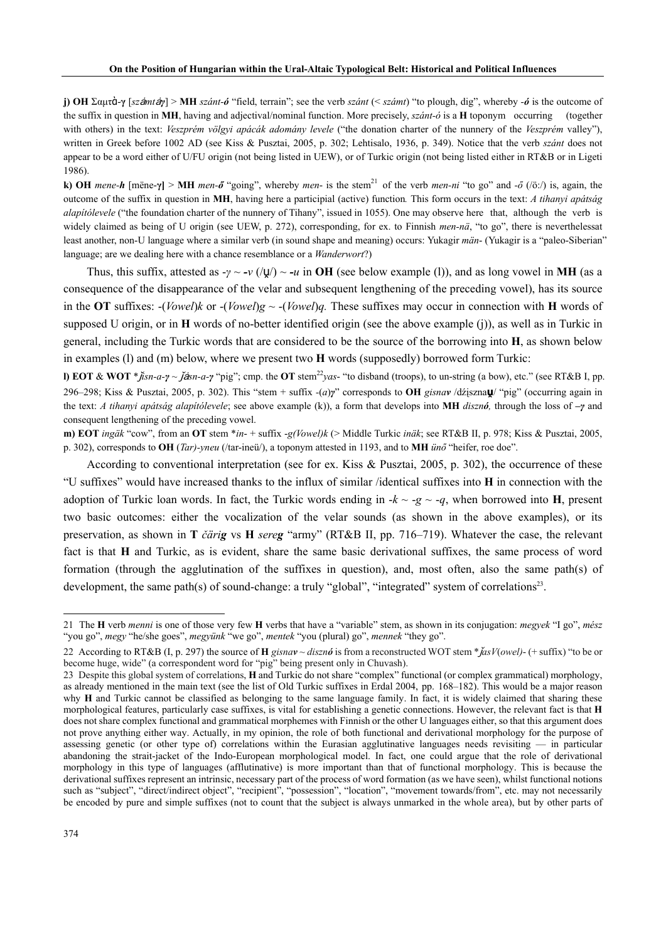**j) OH** Σαμτὰ-**γ** [*sz*ȧ*mt*ȧ*γ*] > **MH** *szánt-ó* "field, terrain"; see the verb *szánt* (< *számt*) "to plough, dig", whereby *-ó* is the outcome of the suffix in question in **MH**, having and adjectival/nominal function. More precisely, *szánt-ó* is a **H** toponym occurring (together with others) in the text: *Veszprém völgyi apácák adomány levele* ("the donation charter of the nunnery of the *Veszprém* valley"), written in Greek before 1002 AD (see Kiss & Pusztai, 2005, p. 302; Lehtisalo, 1936, p. 349). Notice that the verb *szánt* does not appear to be a word either of U/FU origin (not being listed in UEW), or of Turkic origin (not being listed either in RT&B or in Ligeti 1986).

**k)** OH mene-*h* [mëne- $\gamma$ ] > MH men- $\delta$  "going", whereby men- is the stem<sup>21</sup> of the verb men-ni "to go" and - $\delta$  (/ö:/) is, again, the outcome of the suffix in question in **MH**, having here a participial (active) function*.* This form occurs in the text: *A tihanyi apátság alapítólevele* ("the foundation charter of the nunnery of Tihany", issued in 1055). One may observe here that, although the verb is widely claimed as being of U origin (see UEW, p. 272), corresponding, for ex. to Finnish *men-nä*, "to go", there is neverthelessat least another, non-U language where a similar verb (in sound shape and meaning) occurs: Yukagir *män*- (Yukagir is a "paleo-Siberian" language; are we dealing here with a chance resemblance or a *Wanderwort*?)

Thus, this suffix, attested as  $-\gamma \sim -\nu$  (/ul)  $\sim -\mu$  in **OH** (see below example (1)), and as long vowel in **MH** (as a consequence of the disappearance of the velar and subsequent lengthening of the preceding vowel), has its source in the **OT** suffixes:  $-(Vowel)k$  or  $-(Vowel)g \sim -(Vowel)q$ . These suffixes may occur in connection with **H** words of supposed U origin, or in **H** words of no-better identified origin (see the above example (j)), as well as in Turkic in general, including the Turkic words that are considered to be the source of the borrowing into **H**, as shown below in examples (l) and (m) below, where we present two **H** words (supposedly) borrowed form Turkic:

**l) EOT & WOT** \* $\check{h}$ sn-a- $\gamma$  ~ $\check{f}$ ssn-a- $\gamma$  "pig"; cmp. the **OT** stem<sup>22</sup>*yas*- "to disband (troops), to un-string (a bow), etc." (see RT&B I, pp. 296–298; Kiss & Pusztai, 2005, p. 302). This "stem + suffix *-*(*a*)*γ*" corresponds to **OH** *gisnav* /dźįszna**ṷ**/ "pig" (occurring again in the text: *A tihanyi apátság alapítólevele*; see above example (k)), a form that develops into **MH** *disznó,* through the loss of **–***γ* and consequent lengthening of the preceding vowel.

**m) EOT** *ingäk* "cow", from an **OT** stem \**in*- + suffix -*g(Vowel)k* (> Middle Turkic *inäk*; see RT&B II, p. 978; Kiss & Pusztai, 2005, p. 302), corresponds to **OH** (*Tar)-yneu* (/tar-ineü/), a toponym attested in 1193, and to **MH** *ünő* "heifer, roe doe".

According to conventional interpretation (see for ex. Kiss & Pusztai, 2005, p. 302), the occurrence of these "U suffixes" would have increased thanks to the influx of similar /identical suffixes into **H** in connection with the adoption of Turkic loan words. In fact, the Turkic words ending in  $-k \sim -g \sim -q$ , when borrowed into **H**, present two basic outcomes: either the vocalization of the velar sounds (as shown in the above examples), or its preservation, as shown in **T** *čärig* vs **H** *sereg* "army" (RT&B II, pp. 716–719). Whatever the case, the relevant fact is that **H** and Turkic, as is evident, share the same basic derivational suffixes, the same process of word formation (through the agglutination of the suffixes in question), and, most often, also the same path(s) of development, the same path(s) of sound-change: a truly "global", "integrated" system of correlations<sup>23</sup>.

<sup>21</sup> The **H** verb *menni* is one of those very few **H** verbs that have a "variable" stem, as shown in its conjugation: *megyek* "I go", *mész* "you go", *megy* "he/she goes", *megyünk* "we go", *mentek* "you (plural) go", *mennek* "they go".

<sup>22</sup> According to RT&B (I, p. 297) the source of **H** *gisnav* ~ *disznó* is from a reconstructed WOT stem \*ǰ*asV*(*owel)*- (+ suffix) "to be or become huge, wide" (a correspondent word for "pig" being present only in Chuvash).

<sup>23</sup> Despite this global system of correlations, **H** and Turkic do not share "complex" functional (or complex grammatical) morphology, as already mentioned in the main text (see the list of Old Turkic suffixes in Erdal 2004, pp. 168–182). This would be a major reason why **H** and Turkic cannot be classified as belonging to the same language family. In fact, it is widely claimed that sharing these morphological features, particularly case suffixes, is vital for establishing a genetic connections. However, the relevant fact is that **H** does not share complex functional and grammatical morphemes with Finnish or the other U languages either, so that this argument does not prove anything either way. Actually, in my opinion, the role of both functional and derivational morphology for the purpose of assessing genetic (or other type of) correlations within the Eurasian agglutinative languages needs revisiting — in particular abandoning the strait-jacket of the Indo-European morphological model. In fact, one could argue that the role of derivational morphology in this type of languages (afflutinative) is more important than that of functional morphology. This is because the derivational suffixes represent an intrinsic, necessary part of the process of word formation (as we have seen), whilst functional notions such as "subject", "direct/indirect object", "recipient", "possession", "location", "movement towards/from", etc. may not necessarily be encoded by pure and simple suffixes (not to count that the subject is always unmarked in the whole area), but by other parts of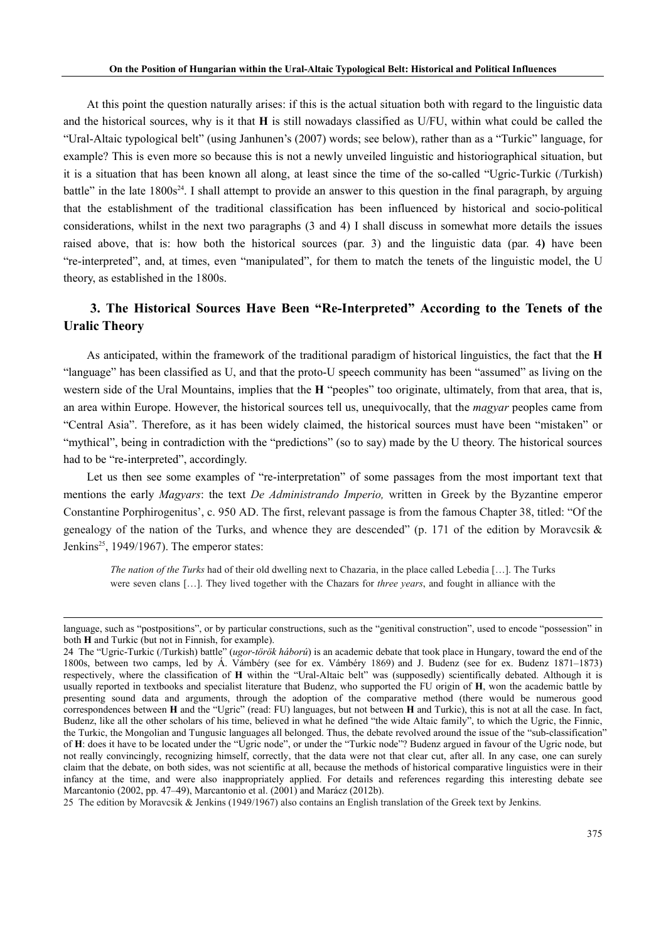At this point the question naturally arises: if this is the actual situation both with regard to the linguistic data and the historical sources, why is it that **H** is still nowadays classified as U/FU, within what could be called the "Ural-Altaic typological belt" (using Janhunen's (2007) words; see below), rather than as a "Turkic" language, for example? This is even more so because this is not a newly unveiled linguistic and historiographical situation, but it is a situation that has been known all along, at least since the time of the so-called "Ugric-Turkic (/Turkish) battle" in the late  $1800s^{24}$ . I shall attempt to provide an answer to this question in the final paragraph, by arguing that the establishment of the traditional classification has been influenced by historical and socio-political considerations, whilst in the next two paragraphs (3 and 4) I shall discuss in somewhat more details the issues raised above, that is: how both the historical sources (par. 3) and the linguistic data (par. 4**)** have been "re-interpreted", and, at times, even "manipulated", for them to match the tenets of the linguistic model, the U theory, as established in the 1800s.

## **3. The Historical Sources Have Been "Re-Interpreted" According to the Tenets of the Uralic Theory**

As anticipated, within the framework of the traditional paradigm of historical linguistics, the fact that the **H**  "language" has been classified as U, and that the proto-U speech community has been "assumed" as living on the western side of the Ural Mountains, implies that the **H** "peoples" too originate, ultimately, from that area, that is, an area within Europe. However, the historical sources tell us, unequivocally, that the *magyar* peoples came from "Central Asia". Therefore, as it has been widely claimed, the historical sources must have been "mistaken" or "mythical", being in contradiction with the "predictions" (so to say) made by the U theory. The historical sources had to be "re-interpreted", accordingly.

Let us then see some examples of "re-interpretation" of some passages from the most important text that mentions the early *Magyars*: the text *De Administrando Imperio,* written in Greek by the Byzantine emperor Constantine Porphirogenitus', c. 950 AD. The first, relevant passage is from the famous Chapter 38, titled: "Of the genealogy of the nation of the Turks, and whence they are descended" (p. 171 of the edition by Moravcsik  $\&$ Jenkins<sup>25</sup>, 1949/1967). The emperor states:

*The nation of the Turks* had of their old dwelling next to Chazaria, in the place called Lebedia […]. The Turks were seven clans […]. They lived together with the Chazars for *three years*, and fought in alliance with the

language, such as "postpositions", or by particular constructions, such as the "genitival construction", used to encode "possession" in both **H** and Turkic (but not in Finnish, for example).

<sup>24</sup> The "Ugric-Turkic (/Turkish) battle" (*ugor-török háború*) is an academic debate that took place in Hungary, toward the end of the 1800s, between two camps, led by Á. Vámbéry (see for ex. Vámbéry 1869) and J. Budenz (see for ex. Budenz 1871–1873) respectively, where the classification of **H** within the "Ural-Altaic belt" was (supposedly) scientifically debated. Although it is usually reported in textbooks and specialist literature that Budenz, who supported the FU origin of **H**, won the academic battle by presenting sound data and arguments, through the adoption of the comparative method (there would be numerous good correspondences between **H** and the "Ugric" (read: FU) languages, but not between **H** and Turkic), this is not at all the case. In fact, Budenz, like all the other scholars of his time, believed in what he defined "the wide Altaic family", to which the Ugric, the Finnic, the Turkic, the Mongolian and Tungusic languages all belonged. Thus, the debate revolved around the issue of the "sub-classification" of **H**: does it have to be located under the "Ugric node", or under the "Turkic node"? Budenz argued in favour of the Ugric node, but not really convincingly, recognizing himself, correctly, that the data were not that clear cut, after all. In any case, one can surely claim that the debate, on both sides, was not scientific at all, because the methods of historical comparative linguistics were in their infancy at the time, and were also inappropriately applied. For details and references regarding this interesting debate see Marcantonio (2002, pp. 47–49), Marcantonio et al. (2001) and Marácz (2012b).

<sup>25</sup> The edition by Moravcsik & Jenkins (1949/1967) also contains an English translation of the Greek text by Jenkins.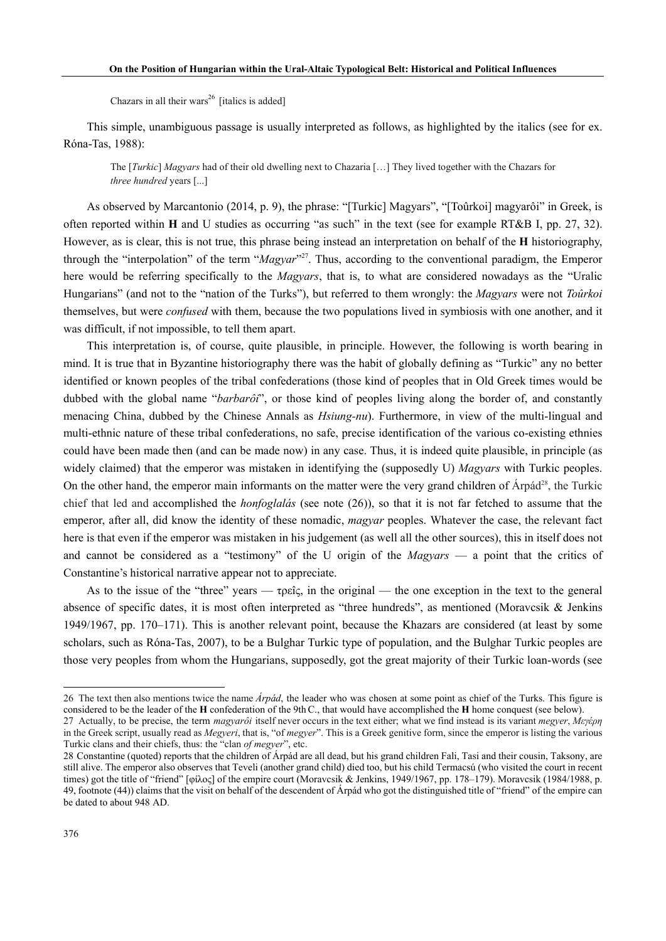Chazars in all their wars<sup>26</sup> [italics is added]

This simple, unambiguous passage is usually interpreted as follows, as highlighted by the italics (see for ex. Róna-Tas, 1988):

The [*Turkic*] *Magyars* had of their old dwelling next to Chazaria […] They lived together with the Chazars for *three hundred* years [...]

As observed by Marcantonio (2014, p. 9), the phrase: "[Turkic] Magyars", "[Toûrkoi] magyarôi" in Greek, is often reported within **H** and U studies as occurring "as such" in the text (see for example RT&B I, pp. 27, 32). However, as is clear, this is not true, this phrase being instead an interpretation on behalf of the **H** historiography, through the "interpolation" of the term "*Magyar*"27. Thus, according to the conventional paradigm, the Emperor here would be referring specifically to the *Magyars*, that is, to what are considered nowadays as the "Uralic Hungarians" (and not to the "nation of the Turks"), but referred to them wrongly: the *Magyars* were not *Toûrkoi*  themselves, but were *confused* with them, because the two populations lived in symbiosis with one another, and it was difficult, if not impossible, to tell them apart.

This interpretation is, of course, quite plausible, in principle. However, the following is worth bearing in mind. It is true that in Byzantine historiography there was the habit of globally defining as "Turkic" any no better identified or known peoples of the tribal confederations (those kind of peoples that in Old Greek times would be dubbed with the global name "*barbarôi*", or those kind of peoples living along the border of, and constantly menacing China, dubbed by the Chinese Annals as *Hsiung-nu*). Furthermore, in view of the multi-lingual and multi-ethnic nature of these tribal confederations, no safe, precise identification of the various co-existing ethnies could have been made then (and can be made now) in any case. Thus, it is indeed quite plausible, in principle (as widely claimed) that the emperor was mistaken in identifying the (supposedly U) *Magyars* with Turkic peoples. On the other hand, the emperor main informants on the matter were the very grand children of Árpád<sup>28</sup>, the Turkic chief that led and accomplished the *honfoglalás* (see note (26)), so that it is not far fetched to assume that the emperor, after all, did know the identity of these nomadic, *magyar* peoples. Whatever the case, the relevant fact here is that even if the emperor was mistaken in his judgement (as well all the other sources), this in itself does not and cannot be considered as a "testimony" of the U origin of the *Magyars* — a point that the critics of Constantine's historical narrative appear not to appreciate.

As to the issue of the "three" years  $-\tau$   $\varphi \in \mathbb{C}$ , in the original — the one exception in the text to the general absence of specific dates, it is most often interpreted as "three hundreds", as mentioned (Moravcsik & Jenkins 1949/1967, pp. 170–171). This is another relevant point, because the Khazars are considered (at least by some scholars, such as Róna-Tas, 2007), to be a Bulghar Turkic type of population, and the Bulghar Turkic peoples are those very peoples from whom the Hungarians, supposedly, got the great majority of their Turkic loan-words (see

<sup>26</sup> The text then also mentions twice the name *Árpád*, the leader who was chosen at some point as chief of the Turks. This figure is considered to be the leader of the **H** confederation of the 9thC., that would have accomplished the **H** home conquest (see below). 27 Actually, to be precise, the term *magyarôi* itself never occurs in the text either; what we find instead is its variant *megyer*, *Μεγέρη*

in the Greek script, usually read as *Megyeri*, that is, "of *megyer*". This is a Greek genitive form, since the emperor is listing the various Turkic clans and their chiefs, thus: the "clan *of megyer*", etc.

<sup>28</sup> Constantine (quoted) reports that the children of Árpád are all dead, but his grand children Fali, Tasi and their cousin, Taksony, are still alive. The emperor also observes that Teveli (another grand child) died too, but his child Termacsú (who visited the court in recent times) got the title of "friend" [φίλος] of the empire court (Moravcsik & Jenkins, 1949/1967, pp. 178–179). Moravcsik (1984/1988, p. 49, footnote (44)) claims that the visit on behalf of the descendent of Árpád who got the distinguished title of "friend" of the empire can be dated to about 948 AD.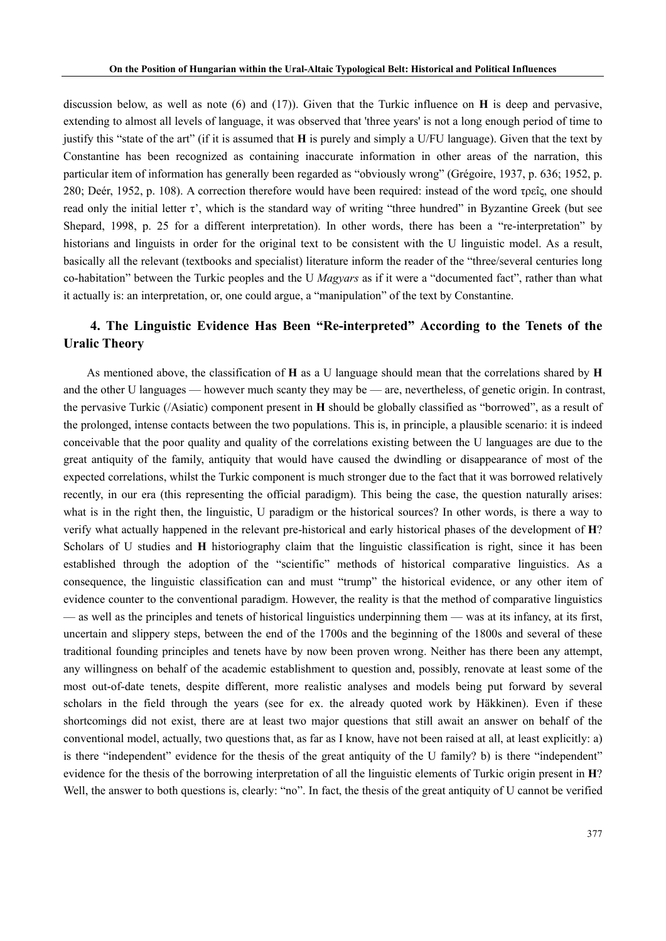discussion below, as well as note (6) and (17)). Given that the Turkic influence on **H** is deep and pervasive, extending to almost all levels of language, it was observed that 'three years' is not a long enough period of time to justify this "state of the art" (if it is assumed that **H** is purely and simply a U/FU language). Given that the text by Constantine has been recognized as containing inaccurate information in other areas of the narration, this particular item of information has generally been regarded as "obviously wrong" (Grégoire, 1937, p. 636; 1952, p. 280; Deér, 1952, p. 108). A correction therefore would have been required: instead of the word τρεîς, one should read only the initial letter  $\tau'$ , which is the standard way of writing "three hundred" in Byzantine Greek (but see Shepard, 1998, p. 25 for a different interpretation). In other words, there has been a "re-interpretation" by historians and linguists in order for the original text to be consistent with the U linguistic model. As a result, basically all the relevant (textbooks and specialist) literature inform the reader of the "three/several centuries long co-habitation" between the Turkic peoples and the U *Magyars* as if it were a "documented fact", rather than what it actually is: an interpretation, or, one could argue, a "manipulation" of the text by Constantine.

### **4. The Linguistic Evidence Has Been "Re-interpreted" According to the Tenets of the Uralic Theory**

As mentioned above, the classification of **H** as a U language should mean that the correlations shared by **H**  and the other U languages — however much scanty they may be — are, nevertheless, of genetic origin. In contrast, the pervasive Turkic (/Asiatic) component present in **H** should be globally classified as "borrowed", as a result of the prolonged, intense contacts between the two populations. This is, in principle, a plausible scenario: it is indeed conceivable that the poor quality and quality of the correlations existing between the U languages are due to the great antiquity of the family, antiquity that would have caused the dwindling or disappearance of most of the expected correlations, whilst the Turkic component is much stronger due to the fact that it was borrowed relatively recently, in our era (this representing the official paradigm). This being the case, the question naturally arises: what is in the right then, the linguistic, U paradigm or the historical sources? In other words, is there a way to verify what actually happened in the relevant pre-historical and early historical phases of the development of **H**? Scholars of U studies and **H** historiography claim that the linguistic classification is right, since it has been established through the adoption of the "scientific" methods of historical comparative linguistics. As a consequence, the linguistic classification can and must "trump" the historical evidence, or any other item of evidence counter to the conventional paradigm. However, the reality is that the method of comparative linguistics — as well as the principles and tenets of historical linguistics underpinning them — was at its infancy, at its first, uncertain and slippery steps, between the end of the 1700s and the beginning of the 1800s and several of these traditional founding principles and tenets have by now been proven wrong. Neither has there been any attempt, any willingness on behalf of the academic establishment to question and, possibly, renovate at least some of the most out-of-date tenets, despite different, more realistic analyses and models being put forward by several scholars in the field through the years (see for ex. the already quoted work by Häkkinen). Even if these shortcomings did not exist, there are at least two major questions that still await an answer on behalf of the conventional model, actually, two questions that, as far as I know, have not been raised at all, at least explicitly: a) is there "independent" evidence for the thesis of the great antiquity of the U family? b) is there "independent" evidence for the thesis of the borrowing interpretation of all the linguistic elements of Turkic origin present in **H**? Well, the answer to both questions is, clearly: "no". In fact, the thesis of the great antiquity of U cannot be verified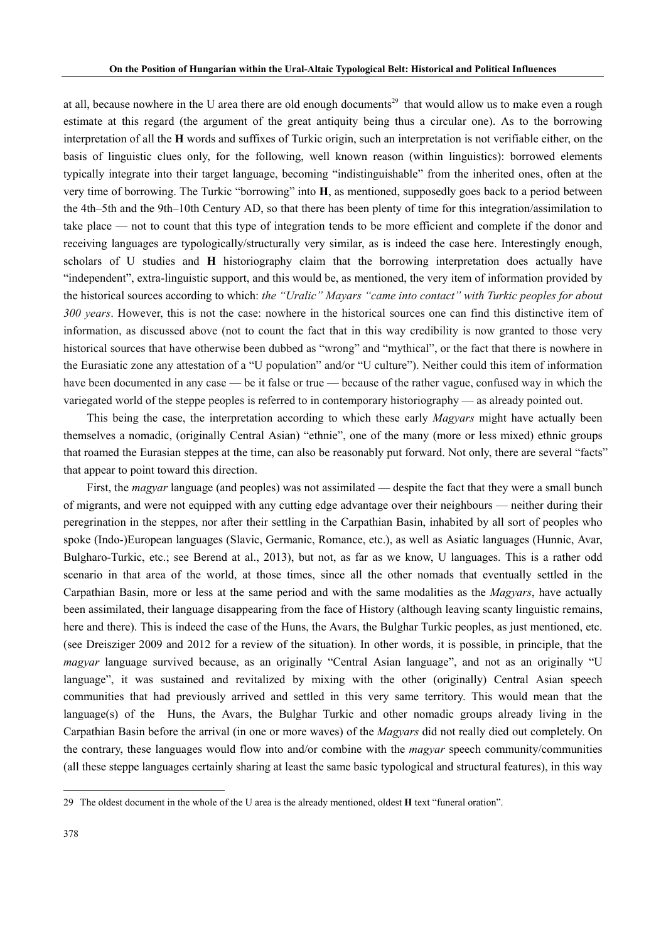at all, because nowhere in the U area there are old enough documents<sup>29</sup> that would allow us to make even a rough estimate at this regard (the argument of the great antiquity being thus a circular one). As to the borrowing interpretation of all the **H** words and suffixes of Turkic origin, such an interpretation is not verifiable either, on the basis of linguistic clues only, for the following, well known reason (within linguistics): borrowed elements typically integrate into their target language, becoming "indistinguishable" from the inherited ones, often at the very time of borrowing. The Turkic "borrowing" into **H**, as mentioned, supposedly goes back to a period between the 4th–5th and the 9th–10th Century AD, so that there has been plenty of time for this integration/assimilation to take place — not to count that this type of integration tends to be more efficient and complete if the donor and receiving languages are typologically/structurally very similar, as is indeed the case here. Interestingly enough, scholars of U studies and **H** historiography claim that the borrowing interpretation does actually have "independent", extra-linguistic support, and this would be, as mentioned, the very item of information provided by the historical sources according to which: *the "Uralic" Mayars "came into contact" with Turkic peoples for about 300 years*. However, this is not the case: nowhere in the historical sources one can find this distinctive item of information, as discussed above (not to count the fact that in this way credibility is now granted to those very historical sources that have otherwise been dubbed as "wrong" and "mythical", or the fact that there is nowhere in the Eurasiatic zone any attestation of a "U population" and/or "U culture"). Neither could this item of information have been documented in any case — be it false or true — because of the rather vague, confused way in which the variegated world of the steppe peoples is referred to in contemporary historiography — as already pointed out.

This being the case, the interpretation according to which these early *Magyars* might have actually been themselves a nomadic, (originally Central Asian) "ethnie", one of the many (more or less mixed) ethnic groups that roamed the Eurasian steppes at the time, can also be reasonably put forward. Not only, there are several "facts" that appear to point toward this direction.

First, the *magyar* language (and peoples) was not assimilated — despite the fact that they were a small bunch of migrants, and were not equipped with any cutting edge advantage over their neighbours — neither during their peregrination in the steppes, nor after their settling in the Carpathian Basin, inhabited by all sort of peoples who spoke (Indo-)European languages (Slavic, Germanic, Romance, etc.), as well as Asiatic languages (Hunnic, Avar, Bulgharo-Turkic, etc.; see Berend at al., 2013), but not, as far as we know, U languages. This is a rather odd scenario in that area of the world, at those times, since all the other nomads that eventually settled in the Carpathian Basin, more or less at the same period and with the same modalities as the *Magyars*, have actually been assimilated, their language disappearing from the face of History (although leaving scanty linguistic remains, here and there). This is indeed the case of the Huns, the Avars, the Bulghar Turkic peoples, as just mentioned, etc. (see Dreisziger 2009 and 2012 for a review of the situation). In other words, it is possible, in principle, that the *magyar* language survived because, as an originally "Central Asian language", and not as an originally "U language", it was sustained and revitalized by mixing with the other (originally) Central Asian speech communities that had previously arrived and settled in this very same territory. This would mean that the language(s) of the Huns, the Avars, the Bulghar Turkic and other nomadic groups already living in the Carpathian Basin before the arrival (in one or more waves) of the *Magyars* did not really died out completely. On the contrary, these languages would flow into and/or combine with the *magyar* speech community/communities (all these steppe languages certainly sharing at least the same basic typological and structural features), in this way

<sup>29</sup> The oldest document in the whole of the U area is the already mentioned, oldest **H** text "funeral oration".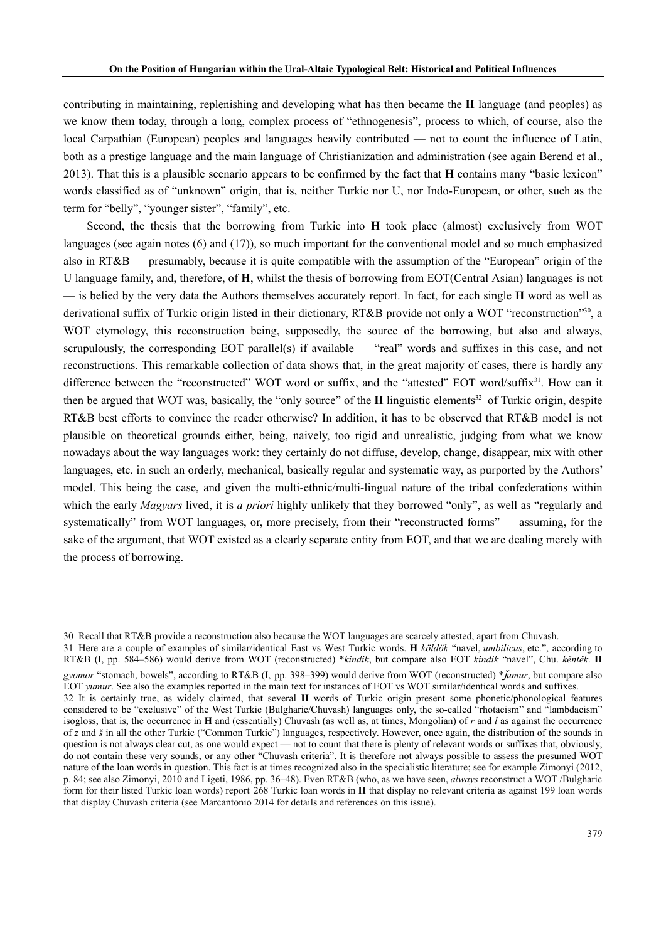contributing in maintaining, replenishing and developing what has then became the **H** language (and peoples) as we know them today, through a long, complex process of "ethnogenesis", process to which, of course, also the local Carpathian (European) peoples and languages heavily contributed — not to count the influence of Latin, both as a prestige language and the main language of Christianization and administration (see again Berend et al., 2013). That this is a plausible scenario appears to be confirmed by the fact that **H** contains many "basic lexicon" words classified as of "unknown" origin, that is, neither Turkic nor U, nor Indo-European, or other, such as the term for "belly", "younger sister", "family", etc.

Second, the thesis that the borrowing from Turkic into **H** took place (almost) exclusively from WOT languages (see again notes (6) and (17)), so much important for the conventional model and so much emphasized also in RT&B — presumably, because it is quite compatible with the assumption of the "European" origin of the U language family, and, therefore, of **H**, whilst the thesis of borrowing from EOT(Central Asian) languages is not — is belied by the very data the Authors themselves accurately report. In fact, for each single **H** word as well as derivational suffix of Turkic origin listed in their dictionary, RT&B provide not only a WOT "reconstruction"30, a WOT etymology, this reconstruction being, supposedly, the source of the borrowing, but also and always, scrupulously, the corresponding EOT parallel(s) if available — "real" words and suffixes in this case, and not reconstructions. This remarkable collection of data shows that, in the great majority of cases, there is hardly any difference between the "reconstructed" WOT word or suffix, and the "attested" EOT word/suffix<sup>31</sup>. How can it then be argued that WOT was, basically, the "only source" of the **H** linguistic elements<sup>32</sup> of Turkic origin, despite RT&B best efforts to convince the reader otherwise? In addition, it has to be observed that RT&B model is not plausible on theoretical grounds either, being, naively, too rigid and unrealistic, judging from what we know nowadays about the way languages work: they certainly do not diffuse, develop, change, disappear, mix with other languages, etc. in such an orderly, mechanical, basically regular and systematic way, as purported by the Authors' model. This being the case, and given the multi-ethnic/multi-lingual nature of the tribal confederations within which the early *Magyars* lived, it is *a priori* highly unlikely that they borrowed "only", as well as "regularly and systematically" from WOT languages, or, more precisely, from their "reconstructed forms" — assuming, for the sake of the argument, that WOT existed as a clearly separate entity from EOT, and that we are dealing merely with the process of borrowing.

<sup>30</sup> Recall that RT&B provide a reconstruction also because the WOT languages are scarcely attested, apart from Chuvash.

<sup>31</sup> Here are a couple of examples of similar/identical East vs West Turkic words. **H** *köldök* "navel, *umbilicus*, etc.", according to RT&B (I, pp. 584–586) would derive from WOT (reconstructed) \**kindik*, but compare also EOT *kindik* "navel", Chu. *kěntěk*. **H**  *gyomor* "stomach, bowels", according to RT&B (I, pp. 398–399) would derive from WOT (reconstructed) \*ǰ*umur*, but compare also EOT *yumur*. See also the examples reported in the main text for instances of EOT vs WOT similar/identical words and suffixes.

<sup>32</sup> It is certainly true, as widely claimed, that several **H** words of Turkic origin present some phonetic/phonological features considered to be "exclusive" of the West Turkic (Bulgharic/Chuvash) languages only, the so-called "rhotacism" and "lambdacism" isogloss, that is, the occurrence in **H** and (essentially) Chuvash (as well as, at times, Mongolian) of *r* and *l* as against the occurrence of *z* and *š* in all the other Turkic ("Common Turkic") languages, respectively. However, once again, the distribution of the sounds in question is not always clear cut, as one would expect — not to count that there is plenty of relevant words or suffixes that, obviously, do not contain these very sounds, or any other "Chuvash criteria". It is therefore not always possible to assess the presumed WOT nature of the loan words in question. This fact is at times recognized also in the specialistic literature; see for example Zimonyi (2012, p. 84; see also Zimonyi, 2010 and Ligeti, 1986, pp. 36–48). Even RT&B (who, as we have seen, *always* reconstruct a WOT /Bulgharic form for their listed Turkic loan words) report 268 Turkic loan words in **H** that display no relevant criteria as against 199 loan words that display Chuvash criteria (see Marcantonio 2014 for details and references on this issue).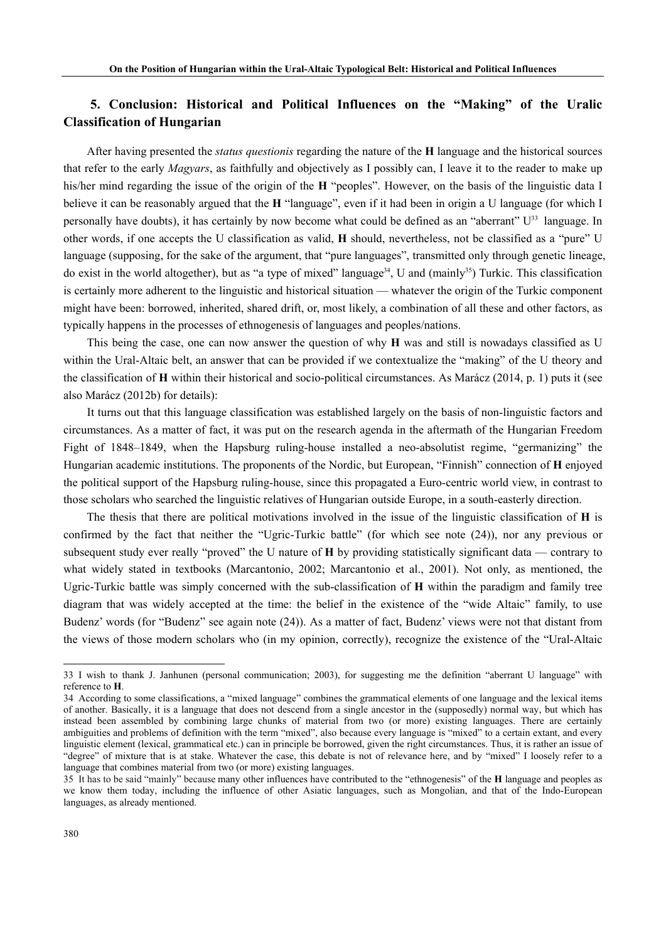## **5. Conclusion: Historical and Political Influences on the "Making" of the Uralic Classification of Hungarian**

After having presented the *status questionis* regarding the nature of the **H** language and the historical sources that refer to the early *Magyars*, as faithfully and objectively as I possibly can, I leave it to the reader to make up his/her mind regarding the issue of the origin of the **H** "peoples". However, on the basis of the linguistic data I believe it can be reasonably argued that the **H** "language", even if it had been in origin a U language (for which I personally have doubts), it has certainly by now become what could be defined as an "aberrant" U33 language. In other words, if one accepts the U classification as valid, **H** should, nevertheless, not be classified as a "pure" U language (supposing, for the sake of the argument, that "pure languages", transmitted only through genetic lineage, do exist in the world altogether), but as "a type of mixed" language<sup>34</sup>, U and (mainly<sup>35</sup>) Turkic. This classification is certainly more adherent to the linguistic and historical situation — whatever the origin of the Turkic component might have been: borrowed, inherited, shared drift, or, most likely, a combination of all these and other factors, as typically happens in the processes of ethnogenesis of languages and peoples/nations.

 This being the case, one can now answer the question of why **H** was and still is nowadays classified as U within the Ural-Altaic belt, an answer that can be provided if we contextualize the "making" of the U theory and the classification of **H** within their historical and socio-political circumstances. As Marácz (2014, p. 1) puts it (see also Marácz (2012b) for details):

 It turns out that this language classification was established largely on the basis of non-linguistic factors and circumstances. As a matter of fact, it was put on the research agenda in the aftermath of the Hungarian Freedom Fight of 1848–1849, when the Hapsburg ruling-house installed a neo-absolutist regime, "germanizing" the Hungarian academic institutions. The proponents of the Nordic, but European, "Finnish" connection of **H** enjoyed the political support of the Hapsburg ruling-house, since this propagated a Euro-centric world view, in contrast to those scholars who searched the linguistic relatives of Hungarian outside Europe, in a south-easterly direction.

The thesis that there are political motivations involved in the issue of the linguistic classification of **H** is confirmed by the fact that neither the "Ugric-Turkic battle" (for which see note (24)), nor any previous or subsequent study ever really "proved" the U nature of **H** by providing statistically significant data — contrary to what widely stated in textbooks (Marcantonio, 2002; Marcantonio et al., 2001). Not only, as mentioned, the Ugric-Turkic battle was simply concerned with the sub-classification of **H** within the paradigm and family tree diagram that was widely accepted at the time: the belief in the existence of the "wide Altaic" family, to use Budenz' words (for "Budenz" see again note (24)). As a matter of fact, Budenz' views were not that distant from the views of those modern scholars who (in my opinion, correctly), recognize the existence of the "Ural-Altaic

<sup>33</sup> I wish to thank J. Janhunen (personal communication; 2003), for suggesting me the definition "aberrant U language" with reference to **H**.

<sup>34</sup> According to some classifications, a "mixed language" combines the grammatical elements of one language and the lexical items of another. Basically, it is a language that does not descend from a single ancestor in the (supposedly) normal way, but which has instead been assembled by combining large chunks of material from two (or more) existing languages. There are certainly ambiguities and problems of definition with the term "mixed", also because every language is "mixed" to a certain extant, and every linguistic element (lexical, grammatical etc.) can in principle be borrowed, given the right circumstances. Thus, it is rather an issue of "degree" of mixture that is at stake. Whatever the case, this debate is not of relevance here, and by "mixed" I loosely refer to a language that combines material from two (or more) existing languages.

<sup>35</sup> It has to be said "mainly" because many other influences have contributed to the "ethnogenesis" of the **H** language and peoples as we know them today, including the influence of other Asiatic languages, such as Mongolian, and that of the Indo-European languages, as already mentioned.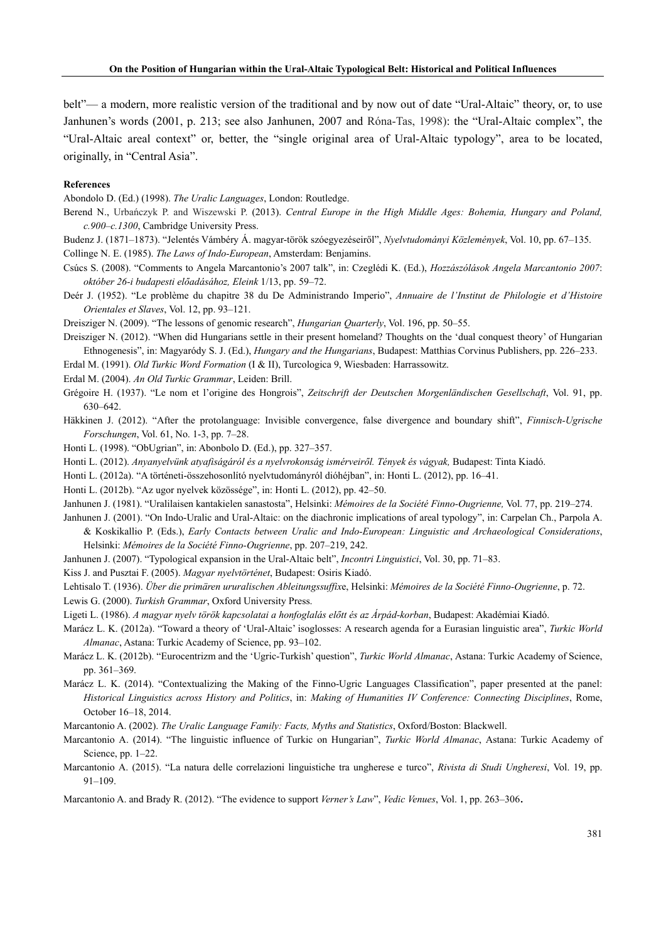belt"— a modern, more realistic version of the traditional and by now out of date "Ural-Altaic" theory, or, to use Janhunen's words (2001, p. 213; see also Janhunen, 2007 and Róna-Tas, 1998): the "Ural-Altaic complex", the "Ural-Altaic areal context" or, better, the "single original area of Ural-Altaic typology", area to be located, originally, in "Central Asia".

#### **References**

Abondolo D. (Ed.) (1998). *The Uralic Languages*, London: Routledge.

- Berend N., Urbańczyk P. and Wiszewski P. (2013). *Central Europe in the High Middle Ages: Bohemia, Hungary and Poland, c.900–c.1300*, Cambridge University Press.
- Budenz J. (1871–1873). "Jelentés Vámbéry Á. magyar-török szóegyezéseiről", *Nyelvtudományi Közlemények*, Vol. 10, pp. 67–135. Collinge N. E. (1985). *The Laws of Indo-European*, Amsterdam: Benjamins.

Csúcs S. (2008). "Comments to Angela Marcantonio's 2007 talk", in: Czeglédi K. (Ed.), *Hozzászólások Angela Marcantonio 2007*:

*október 26-i budapesti előadásához, Eleink* 1/13, pp. 59–72.

Deér J. (1952). "Le problème du chapitre 38 du De Administrando Imperio", *Annuaire de l'Institut de Philologie et d'Histoire Orientales et Slaves*, Vol. 12, pp. 93–121.

Dreisziger N. (2009). "The lessons of genomic research", *Hungarian Quarterly*, Vol. 196, pp. 50–55.

Dreisziger N. (2012). "When did Hungarians settle in their present homeland? Thoughts on the 'dual conquest theory' of Hungarian Ethnogenesis", in: Magyaródy S. J. (Ed.), *Hungary and the Hungarians*, Budapest: Matthias Corvinus Publishers, pp. 226–233.

Erdal M. (1991). *Old Turkic Word Formation* (I & II), Turcologica 9, Wiesbaden: Harrassowitz.

Erdal M. (2004). *An Old Turkic Grammar*, Leiden: Brill.

- Grégoire H. (1937). "Le nom et l'origine des Hongrois", *Zeitschrift der Deutschen Morgenländischen Gesellschaft*, Vol. 91, pp. 630–642.
- Häkkinen J. (2012). "After the protolanguage: Invisible convergence, false divergence and boundary shift", *Finnisch-Ugrische Forschungen*, Vol. 61, No. 1-3, pp. 7–28.
- Honti L. (1998). "ObUgrian", in: Abonbolo D. (Ed.), pp. 327–357.
- Honti L. (2012). *Anyanyelvünk atyafiságáról és a nyelvrokonság ismérveiről. Tények és vágyak,* Budapest: Tinta Kiadó.
- Honti L. (2012a). "A történeti-összehosonlító nyelvtudományról dióhéjban", in: Honti L. (2012), pp. 16–41.

Honti L. (2012b). "Az ugor nyelvek közössége", in: Honti L. (2012), pp. 42–50.

Janhunen J. (1981). "Uralilaisen kantakielen sanastosta", Helsinki: *Mémoires de la Société Finno-Ougrienne,* Vol. 77, pp. 219–274.

Janhunen J. (2001). "On Indo-Uralic and Ural-Altaic: on the diachronic implications of areal typology", in: Carpelan Ch., Parpola A. & Koskikallio P. (Eds.), *Early Contacts between Uralic and Indo-European: Linguistic and Archaeological Considerations*, Helsinki: *Mémoires de la Société Finno-Ougrienne*, pp. 207–219, 242.

- Janhunen J. (2007). "Typological expansion in the Ural-Altaic belt", *Incontri Linguistici*, Vol. 30, pp. 71–83.
- Kiss J. and Pusztai F. (2005). *Magyar nyelvtörténet*, Budapest: Osiris Kiadó.

Lehtisalo T. (1936). *Über die primären ururalischen Ableitungssuffix*e, Helsinki: *Mémoires de la Société Finno-Ougrienne*, p. 72.

Lewis G. (2000). *Turkish Grammar*, Oxford University Press.

- Ligeti L. (1986). *A magyar nyelv török kapcsolatai a honfoglalás előtt és az Árpád-korban*, Budapest: Akadémiai Kiadó.
- Marácz L. K. (2012a). "Toward a theory of 'Ural-Altaic' isoglosses: A research agenda for a Eurasian linguistic area", *Turkic World Almanac*, Astana: Turkic Academy of Science, pp. 93–102.
- Marácz L. K. (2012b). "Eurocentrizm and the 'Ugric-Turkish' question", *Turkic World Almanac*, Astana: Turkic Academy of Science, pp. 361–369.
- Marácz L. K. (2014). "Contextualizing the Making of the Finno-Ugric Languages Classification", paper presented at the panel: *Historical Linguistics across History and Politics*, in: *Making of Humanities IV Conference: Connecting Disciplines*, Rome, October 16–18, 2014.

Marcantonio A. (2002). *The Uralic Language Family: Facts, Myths and Statistics*, Oxford/Boston: Blackwell.

- Marcantonio A. (2014). "The linguistic influence of Turkic on Hungarian", *Turkic World Almanac*, Astana: Turkic Academy of Science, pp. 1–22.
- Marcantonio A. (2015). "La natura delle correlazioni linguistiche tra ungherese e turco", *Rivista di Studi Ungheresi*, Vol. 19, pp.  $91 - 109$

Marcantonio A. and Brady R. (2012). "The evidence to support *Verner's Law*", *Vedic Venues*, Vol. 1, pp. 263–306.